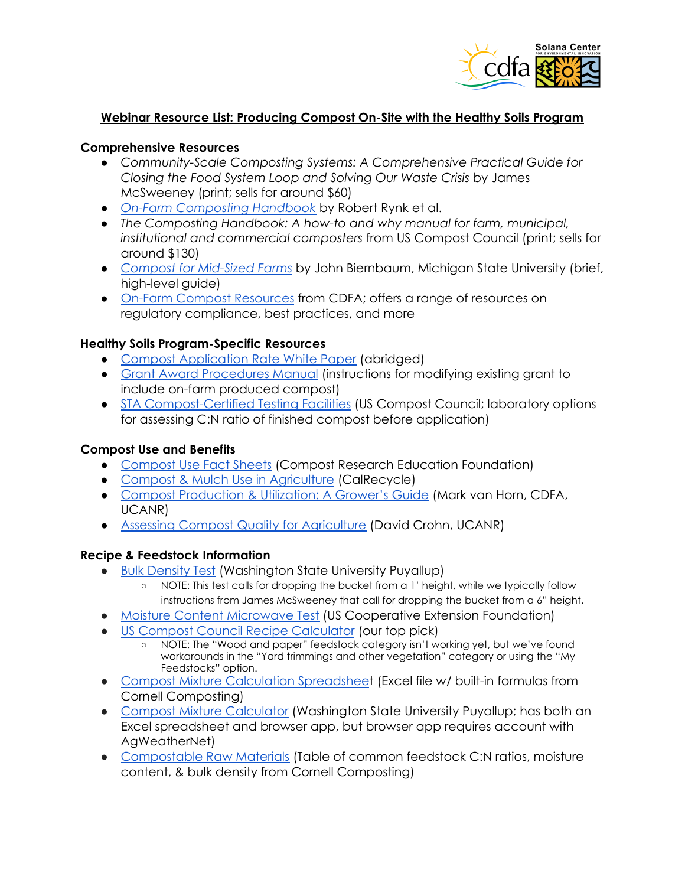

### **Webinar Resource List: Producing Compost On-Site with the Healthy Soils Program**

#### **Comprehensive Resources**

- *Community-Scale Composting Systems: A Comprehensive Practical Guide for Closing the Food System Loop and Solving Our Waste Crisis* by James McSweeney (print; sells for around \$60)
- *On-Farm [Composting](https://campus.extension.org/pluginfile.php/48384/course/section/7167/NRAES%20FarmCompost%20manual%201992.pdf) Handbook* by Robert Rynk et al.
- *The Composting Handbook: A how-to and why manual for farm, municipal, institutional and commercial composters* from US Compost Council (print; sells for around \$130)
- *Compost for [Mid-Sized](https://www.canr.msu.edu/uploads/236/79117/Compost_for_Midsize_FarmsQuickCourse8pgs.pdf) Farms* by John Biernbaum, Michigan State University (brief, high-level guide)
- On-Farm Compost [Resources](https://www.cdfa.ca.gov/healthysoils/ofcwg.html) from CDFA; offers a range of resources on regulatory compliance, best practices, and more

#### **Healthy Soils Program-Specific Resources**

- Compost [Application](https://www.cdfa.ca.gov/oefi/healthysoils/docs/CompostApplicationRate_WhitePaper.pdf) Rate White Paper (abridged)
- Grant Award [Procedures](https://www.cdfa.ca.gov/oefi/healthysoils/docs/2021_HSP_Demo_GAP_Manual.pdf) Manual (instructions for modifying existing grant to include on-farm produced compost)
- STA [Compost-Certified](https://www.compostingcouncil.org/page/CertifiedLabs) Testing Facilities (US Compost Council; laboratory options for assessing C:N ratio of finished compost before application)

#### **Compost Use and Benefits**

- [Compost](https://compostfoundation.org/Portals/2/Documents/CREF%20Factsheets.pdf) Use Fact Sheets (Compost Research Education Foundation)
- Compost & Mulch Use in [Agriculture](https://www.calrecycle.ca.gov/Organics/Farming/) (CalRecycle)
- Compost [Production](https://www.cdfa.ca.gov/is/docs/Compost%20Production%20and%20Utilization2.pdf) & Utilization: A Grower's Guide (Mark van Horn, CDFA, UCANR)
- Assessing Compost Quality for [Agriculture](https://anrcatalog.ucanr.edu/pdf/8514.pdf) (David Crohn, UCANR)

#### **Recipe & Feedstock Information**

- Bulk [Density](https://puyallup.wsu.edu/soils/bulkdensity/#:~:text=5%20gallon)%20line.-,Drop%20bucket%20squarely%20from%20approximately%201%20foot%20high%20to%20the,yard%20(lbs%2Fyd%C2%B3).) Test (Washington State University Puyallup)
	- NOTE: This test calls for dropping the bucket from a 1' height, while we typically follow instructions from James McSweeney that call for dropping the bucket from a 6" height.
- Moisture Content [Microwave](https://campus.extension.org/mod/page/view.php?id=33101#:~:text=If%20your%20compost%20is%20moist,one%20gram%2C%20use%20this%20value.) Test (US Cooperative Extension Foundation)
- US Compost Council Recipe [Calculator](https://app.compostcalc.com/) (our top pick)
	- NOTE: The "Wood and paper" feedstock category isn't working yet, but we've found workarounds in the "Yard trimmings and other vegetation" category or using the "My Feedstocks" option.
- Compost Mixture Calculation [Spreadshee](http://compost.css.cornell.edu/download.html)t (Excel file w/ built-in formulas from Cornell Composting)
- Compost Mixture [Calculator](https://puyallup.wsu.edu/soils/compost-mix-calculator/) (Washington State University Puyallup; has both an Excel spreadsheet and browser app, but browser app requires account with AgWeatherNet)
- [Compostable](http://compost.css.cornell.edu/feas.study.tab6.html) Raw Materials (Table of common feedstock C:N ratios, moisture content, & bulk density from Cornell Composting)